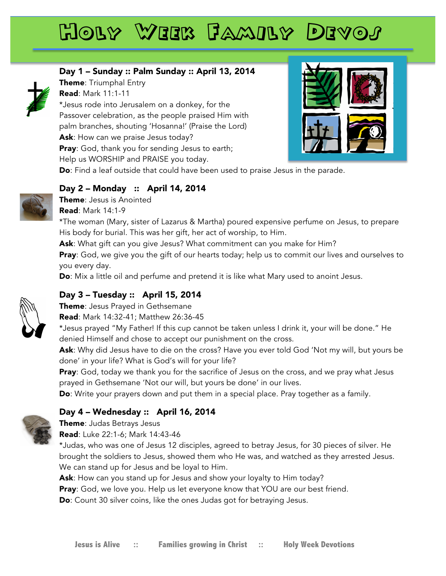# Holy Week Family Devos

### Day 1 – Sunday :: Palm Sunday :: April 13, 2014



Theme: Triumphal Entry Read: Mark 11:1-11 \*Jesus rode into Jerusalem on a donkey, for the Passover celebration, as the people praised Him with palm branches, shouting 'Hosanna!' (Praise the Lord) Ask: How can we praise Jesus today? Pray: God, thank you for sending Jesus to earth; Help us WORSHIP and PRAISE you today. Do: Find a leaf outside that could have been used to praise Jesus in the parade.

### Day 2 – Monday :: April 14, 2014



Theme: Jesus is Anointed Read: Mark 14:1-9

\*The woman (Mary, sister of Lazarus & Martha) poured expensive perfume on Jesus, to prepare His body for burial. This was her gift, her act of worship, to Him.

Ask: What gift can you give Jesus? What commitment can you make for Him?

**Pray**: God, we give you the gift of our hearts today; help us to commit our lives and ourselves to you every day.

**Do**: Mix a little oil and perfume and pretend it is like what Mary used to anoint Jesus.

### Day 3 – Tuesday :: April 15, 2014



Theme: Jesus Prayed in Gethsemane

Read: Mark 14:32-41; Matthew 26:36-45

\*Jesus prayed "My Father! If this cup cannot be taken unless I drink it, your will be done." He denied Himself and chose to accept our punishment on the cross.

Ask: Why did Jesus have to die on the cross? Have you ever told God 'Not my will, but yours be done' in your life? What is God's will for your life?

Pray: God, today we thank you for the sacrifice of Jesus on the cross, and we pray what Jesus prayed in Gethsemane 'Not our will, but yours be done' in our lives.

**Do**: Write your prayers down and put them in a special place. Pray together as a family.

# Day 4 – Wednesday :: April 16, 2014

## Theme: Judas Betrays Jesus

Read: Luke 22:1-6; Mark 14:43-46

\*Judas, who was one of Jesus 12 disciples, agreed to betray Jesus, for 30 pieces of silver. He brought the soldiers to Jesus, showed them who He was, and watched as they arrested Jesus. We can stand up for Jesus and be loyal to Him.

Ask: How can you stand up for Jesus and show your loyalty to Him today?

Pray: God, we love you. Help us let everyone know that YOU are our best friend.

Do: Count 30 silver coins, like the ones Judas got for betraying Jesus.